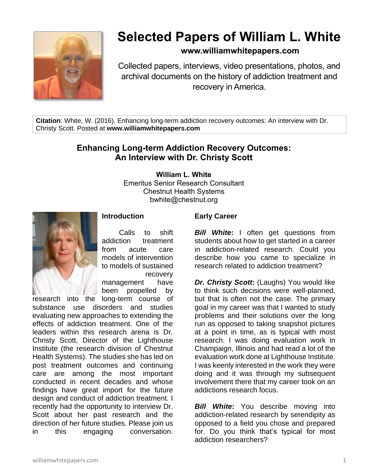

# **Selected Papers of William L. White**

# **www.williamwhitepapers.com**

Collected papers, interviews, video presentations, photos, and archival documents on the history of addiction treatment and recovery in America.

**Citation**: White, W. (2016). Enhancing long-term addiction recovery outcomes: An interview with Dr. Christy Scott. Posted at **www.williamwhitepapers.com**

# **Enhancing Long-term Addiction Recovery Outcomes: An Interview with Dr. Christy Scott**

**William L. White**

Emeritus Senior Research Consultant Chestnut Health Systems bwhite@chestnut.org



# **Introduction**

Calls to shift addiction treatment from acute care models of intervention to models of sustained recovery management have

been propelled by research into the long-term course of

substance use disorders and studies evaluating new approaches to extending the effects of addiction treatment. One of the leaders within this research arena is Dr. Christy Scott, Director of the Lighthouse Institute (the research division of Chestnut Health Systems). The studies she has led on post treatment outcomes and continuing care are among the most important conducted in recent decades and whose findings have great import for the future design and conduct of addiction treatment. I recently had the opportunity to interview Dr. Scott about her past research and the direction of her future studies. Please join us in this engaging conversation.

#### **Early Career**

*Bill White***:** I often get questions from students about how to get started in a career in addiction-related research. Could you describe how you came to specialize in research related to addiction treatment?

*Dr. Christy Scott***:** (Laughs) You would like to think such decisions were well-planned, but that is often not the case. The primary goal in my career was that I wanted to study problems and their solutions over the long run as opposed to taking snapshot pictures at a point in time, as is typical with most research. I was doing evaluation work in Champaign, Illinois and had read a lot of the evaluation work done at Lighthouse Institute. I was keenly interested in the work they were doing and it was through my subsequent involvement there that my career took on an addictions research focus.

*Bill White***:** You describe moving into addiction-related research by serendipity as opposed to a field you chose and prepared for. Do you think that's typical for most addiction researchers?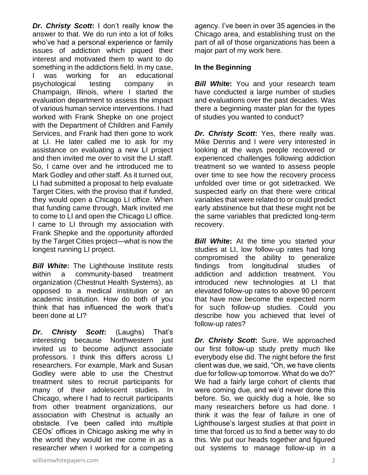*Dr. Christy Scott***:** I don't really know the answer to that. We do run into a lot of folks who've had a personal experience or family issues of addiction which piqued their interest and motivated them to want to do something in the addictions field. In my case, I was working for an educational psychological testing company in Champaign, Illinois, where I started the evaluation department to assess the impact of various human service interventions. I had worked with Frank Shepke on one project with the Department of Children and Family Services, and Frank had then gone to work at LI. He later called me to ask for my assistance on evaluating a new LI project and then invited me over to visit the LI staff. So, I came over and he introduced me to Mark Godley and other staff. As it turned out, LI had submitted a proposal to help evaluate Target Cities, with the proviso that if funded, they would open a Chicago LI office. When that funding came through, Mark invited me to come to LI and open the Chicago LI office. I came to LI through my association with Frank Shepke and the opportunity afforded by the Target Cities project—what is now the longest running LI project.

*Bill White***:** The Lighthouse Institute rests within a community-based treatment organization (Chestnut Health Systems), as opposed to a medical institution or an academic institution. How do both of you think that has influenced the work that's been done at LI?

*Dr. Christy Scott***:** (Laughs) That's interesting because Northwestern just invited us to become adjunct associate professors. I think this differs across LI researchers. For example, Mark and Susan Godley were able to use the Chestnut treatment sites to recruit participants for many of their adolescent studies. In Chicago, where I had to recruit participants from other treatment organizations, our association with Chestnut is actually an obstacle. I've been called into multiple CEOs' offices in Chicago asking me why in the world they would let me come in as a researcher when I worked for a competing

agency. I've been in over 35 agencies in the Chicago area, and establishing trust on the part of all of those organizations has been a major part of my work here.

#### **In the Beginning**

*Bill White***:** You and your research team have conducted a large number of studies and evaluations over the past decades. Was there a beginning master plan for the types of studies you wanted to conduct?

*Dr. Christy Scott***:** Yes, there really was. Mike Dennis and I were very interested in looking at the ways people recovered or experienced challenges following addiction treatment so we wanted to assess people over time to see how the recovery process unfolded over time or got sidetracked. We suspected early on that there were critical variables that were related to or could predict early abstinence but that these might not be the same variables that predicted long-term recovery.

**Bill White:** At the time you started your studies at LI, low follow-up rates had long compromised the ability to generalize findings from longitudinal studies of addiction and addiction treatment. You introduced new technologies at LI that elevated follow-up rates to above 90 percent that have now become the expected norm for such follow-up studies. Could you describe how you achieved that level of follow-up rates?

*Dr. Christy Scott***:** Sure. We approached our first follow-up study pretty much like everybody else did. The night before the first client was due, we said, "Oh, we have clients due for follow-up tomorrow. What do we do?" We had a fairly large cohort of clients that were coming due, and we'd never done this before. So, we quickly dug a hole, like so many researchers before us had done. I think it was the fear of failure in one of Lighthouse's largest studies at that point in time that forced us to find a better way to do this. We put our heads together and figured out systems to manage follow-up in a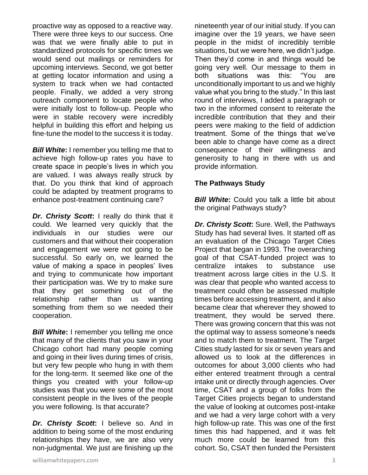proactive way as opposed to a reactive way. There were three keys to our success. One was that we were finally able to put in standardized protocols for specific times we would send out mailings or reminders for upcoming interviews. Second, we got better at getting locator information and using a system to track when we had contacted people. Finally, we added a very strong outreach component to locate people who were initially lost to follow-up. People who were in stable recovery were incredibly helpful in building this effort and helping us fine-tune the model to the success it is today.

*Bill White*: I remember you telling me that to achieve high follow-up rates you have to create space in people's lives in which you are valued. I was always really struck by that. Do you think that kind of approach could be adapted by treatment programs to enhance post-treatment continuing care?

*Dr. Christy Scott***:** I really do think that it could. We learned very quickly that the individuals in our studies were our customers and that without their cooperation and engagement we were not going to be successful. So early on, we learned the value of making a space in peoples' lives and trying to communicate how important their participation was. We try to make sure that they get something out of the relationship rather than us wanting something from them so we needed their cooperation.

*Bill White***:** I remember you telling me once that many of the clients that you saw in your Chicago cohort had many people coming and going in their lives during times of crisis, but very few people who hung in with them for the long-term. It seemed like one of the things you created with your follow-up studies was that you were some of the most consistent people in the lives of the people you were following. Is that accurate?

*Dr. Christy Scott***:** I believe so. And in addition to being some of the most enduring relationships they have, we are also very non-judgmental. We just are finishing up the

nineteenth year of our initial study. If you can imagine over the 19 years, we have seen people in the midst of incredibly terrible situations, but we were here, we didn't judge. Then they'd come in and things would be going very well. Our message to them in both situations was this: "You are unconditionally important to us and we highly value what you bring to the study." In this last round of interviews, I added a paragraph or two in the informed consent to reiterate the incredible contribution that they and their peers were making to the field of addiction treatment. Some of the things that we've been able to change have come as a direct consequence of their willingness and generosity to hang in there with us and provide information.

#### **The Pathways Study**

*Bill White:* Could you talk a little bit about the original Pathways study?

*Dr. Christy Scott***:** Sure. Well, the Pathways Study has had several lives. It started off as an evaluation of the Chicago Target Cities Project that began in 1993. The overarching goal of that CSAT-funded project was to centralize intakes to substance use treatment across large cities in the U.S. It was clear that people who wanted access to treatment could often be assessed multiple times before accessing treatment, and it also became clear that wherever they showed to treatment, they would be served there. There was growing concern that this was not the optimal way to assess someone's needs and to match them to treatment. The Target Cities study lasted for six or seven years and allowed us to look at the differences in outcomes for about 3,000 clients who had either entered treatment through a central intake unit or directly through agencies. Over time, CSAT and a group of folks from the Target Cities projects began to understand the value of looking at outcomes post-intake and we had a very large cohort with a very high follow-up rate. This was one of the first times this had happened, and it was felt much more could be learned from this cohort. So, CSAT then funded the Persistent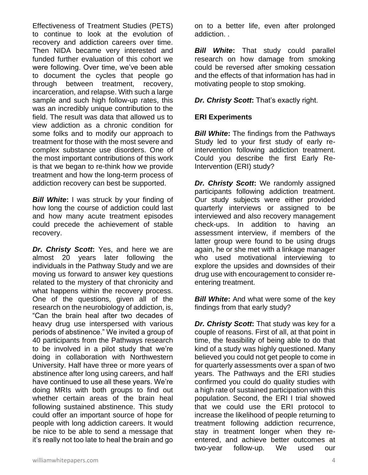Effectiveness of Treatment Studies (PETS) to continue to look at the evolution of recovery and addiction careers over time. Then NIDA became very interested and funded further evaluation of this cohort we were following. Over time, we've been able to document the cycles that people go through between treatment, recovery, incarceration, and relapse. With such a large sample and such high follow-up rates, this was an incredibly unique contribution to the field. The result was data that allowed us to view addiction as a chronic condition for some folks and to modify our approach to treatment for those with the most severe and complex substance use disorders. One of the most important contributions of this work is that we began to re-think how we provide treatment and how the long-term process of addiction recovery can best be supported.

*Bill White***:** I was struck by your finding of how long the course of addiction could last and how many acute treatment episodes could precede the achievement of stable recovery.

*Dr. Christy Scott***:** Yes, and here we are almost 20 years later following the individuals in the Pathway Study and we are moving us forward to answer key questions related to the mystery of that chronicity and what happens within the recovery process. One of the questions, given all of the research on the neurobiology of addiction, is, "Can the brain heal after two decades of heavy drug use interspersed with various periods of abstinence." We invited a group of 40 participants from the Pathways research to be involved in a pilot study that we're doing in collaboration with Northwestern University. Half have three or more years of abstinence after long using careers, and half have continued to use all these years. We're doing MRIs with both groups to find out whether certain areas of the brain heal following sustained abstinence. This study could offer an important source of hope for people with long addiction careers. It would be nice to be able to send a message that it's really not too late to heal the brain and go

on to a better life, even after prolonged addiction. .

*Bill White***:** That study could parallel research on how damage from smoking could be reversed after smoking cessation and the effects of that information has had in motivating people to stop smoking.

*Dr. Christy Scott***:** That's exactly right.

# **ERI Experiments**

*Bill White***:** The findings from the Pathways Study led to your first study of early reintervention following addiction treatment. Could you describe the first Early Re-Intervention (ERI) study?

*Dr. Christy Scott***:** We randomly assigned participants following addiction treatment. Our study subjects were either provided quarterly interviews or assigned to be interviewed and also recovery management check-ups. In addition to having an assessment interview, if members of the latter group were found to be using drugs again, he or she met with a linkage manager who used motivational interviewing to explore the upsides and downsides of their drug use with encouragement to consider reentering treatment.

**Bill White:** And what were some of the key findings from that early study?

*Dr. Christy Scott***:** That study was key for a couple of reasons. First of all, at that point in time, the feasibility of being able to do that kind of a study was highly questioned. Many believed you could not get people to come in for quarterly assessments over a span of two years. The Pathways and the ERI studies confirmed you could do quality studies with a high rate of sustained participation with this population. Second, the ERI I trial showed that we could use the ERI protocol to increase the likelihood of people returning to treatment following addiction recurrence, stay in treatment longer when they reentered, and achieve better outcomes at two-year follow-up. We used our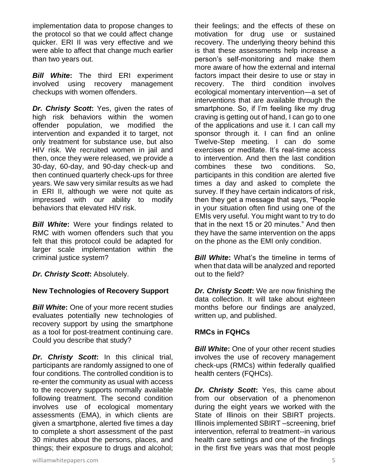implementation data to propose changes to the protocol so that we could affect change quicker. ERI II was very effective and we were able to affect that change much earlier than two years out.

*Bill White***:** The third ERI experiment involved using recovery management checkups with women offenders.

*Dr. Christy Scott***:** Yes, given the rates of high risk behaviors within the women offender population, we modified the intervention and expanded it to target, not only treatment for substance use, but also HIV risk. We recruited women in jail and then, once they were released, we provide a 30-day, 60-day, and 90-day check-up and then continued quarterly check-ups for three years. We saw very similar results as we had in ERI II, although we were not quite as impressed with our ability to modify behaviors that elevated HIV risk.

*Bill White***:** Were your findings related to RMC with women offenders such that you felt that this protocol could be adapted for larger scale implementation within the criminal justice system?

*Dr. Christy Scott***:** Absolutely.

# **New Technologies of Recovery Support**

*Bill White:* One of your more recent studies evaluates potentially new technologies of recovery support by using the smartphone as a tool for post-treatment continuing care. Could you describe that study?

*Dr. Christy Scott***:** In this clinical trial, participants are randomly assigned to one of four conditions. The controlled condition is to re-enter the community as usual with access to the recovery supports normally available following treatment. The second condition involves use of ecological momentary assessments (EMA), in which clients are given a smartphone, alerted five times a day to complete a short assessment of the past 30 minutes about the persons, places, and things; their exposure to drugs and alcohol;

their feelings; and the effects of these on motivation for drug use or sustained recovery. The underlying theory behind this is that these assessments help increase a person's self-monitoring and make them more aware of how the external and internal factors impact their desire to use or stay in recovery. The third condition involves ecological momentary intervention—a set of interventions that are available through the smartphone. So, if I'm feeling like my drug craving is getting out of hand, I can go to one of the applications and use it. I can call my sponsor through it. I can find an online Twelve-Step meeting. I can do some exercises or meditate. It's real-time access to intervention. And then the last condition combines these two conditions. So, participants in this condition are alerted five times a day and asked to complete the survey. If they have certain indicators of risk, then they get a message that says, "People in your situation often find using one of the EMIs very useful. You might want to try to do that in the next 15 or 20 minutes." And then they have the same intervention on the apps on the phone as the EMI only condition.

**Bill White:** What's the timeline in terms of when that data will be analyzed and reported out to the field?

*Dr. Christy Scott***:** We are now finishing the data collection. It will take about eighteen months before our findings are analyzed, written up, and published.

# **RMCs in FQHCs**

**Bill White:** One of your other recent studies involves the use of recovery management check-ups (RMCs) within federally qualified health centers (FQHCs).

*Dr. Christy Scott***:** Yes, this came about from our observation of a phenomenon during the eight years we worked with the State of Illinois on their SBIRT projects. Illinois implemented SBIRT –screening, brief intervention, referral to treatment--in various health care settings and one of the findings in the first five years was that most people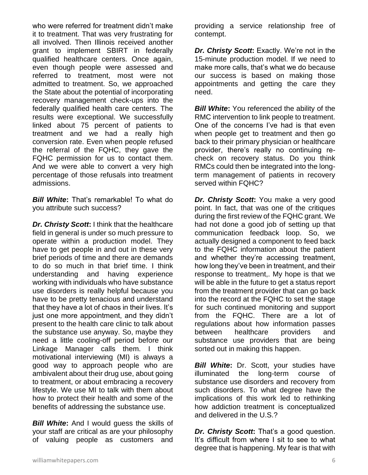who were referred for treatment didn't make it to treatment. That was very frustrating for all involved. Then Illinois received another grant to implement SBIRT in federally qualified healthcare centers. Once again, even though people were assessed and referred to treatment, most were not admitted to treatment. So, we approached the State about the potential of incorporating recovery management check-ups into the federally qualified health care centers. The results were exceptional. We successfully linked about 75 percent of patients to treatment and we had a really high conversion rate. Even when people refused the referral of the FQHC, they gave the FQHC permission for us to contact them. And we were able to convert a very high percentage of those refusals into treatment admissions.

*Bill White***:** That's remarkable! To what do you attribute such success?

*Dr. Christy Scott***:** I think that the healthcare field in general is under so much pressure to operate within a production model. They have to get people in and out in these very brief periods of time and there are demands to do so much in that brief time. I think understanding and having experience working with individuals who have substance use disorders is really helpful because you have to be pretty tenacious and understand that they have a lot of chaos in their lives. It's just one more appointment, and they didn't present to the health care clinic to talk about the substance use anyway. So, maybe they need a little cooling-off period before our Linkage Manager calls them. I think motivational interviewing (MI) is always a good way to approach people who are ambivalent about their drug use, about going to treatment, or about embracing a recovery lifestyle. We use MI to talk with them about how to protect their health and some of the benefits of addressing the substance use.

*Bill White***:** And I would guess the skills of your staff are critical as are your philosophy of valuing people as customers and

providing a service relationship free of contempt.

*Dr. Christy Scott***:** Exactly. We're not in the 15-minute production model. If we need to make more calls, that's what we do because our success is based on making those appointments and getting the care they need.

**Bill White:** You referenced the ability of the RMC intervention to link people to treatment. One of the concerns I've had is that even when people get to treatment and then go back to their primary physician or healthcare provider, there's really no continuing recheck on recovery status. Do you think RMCs could then be integrated into the longterm management of patients in recovery served within FQHC?

*Dr. Christy Scott***:** You make a very good point. In fact, that was one of the critiques during the first review of the FQHC grant. We had not done a good job of setting up that communication feedback loop. So, we actually designed a component to feed back to the FQHC information about the patient and whether they're accessing treatment, how long they've been in treatment, and their response to treatment,. My hope is that we will be able in the future to get a status report from the treatment provider that can go back into the record at the FQHC to set the stage for such continued monitoring and support from the FQHC. There are a lot of regulations about how information passes between healthcare providers and substance use providers that are being sorted out in making this happen.

*Bill White*: Dr. Scott, your studies have illuminated the long-term course of substance use disorders and recovery from such disorders. To what degree have the implications of this work led to rethinking how addiction treatment is conceptualized and delivered in the U.S.?

*Dr. Christy Scott***:** That's a good question. It's difficult from where I sit to see to what degree that is happening. My fear is that with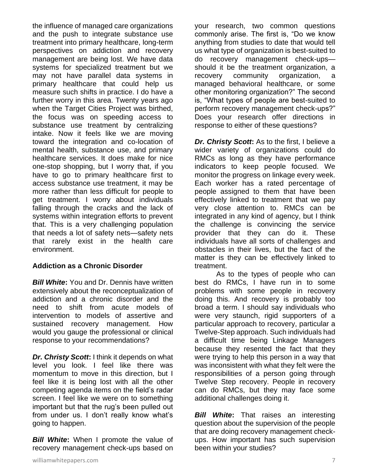the influence of managed care organizations and the push to integrate substance use treatment into primary healthcare, long-term perspectives on addiction and recovery management are being lost. We have data systems for specialized treatment but we may not have parallel data systems in primary healthcare that could help us measure such shifts in practice. I do have a further worry in this area. Twenty years ago when the Target Cities Project was birthed, the focus was on speeding access to substance use treatment by centralizing intake. Now it feels like we are moving toward the integration and co-location of mental health, substance use, and primary healthcare services. It does make for nice one-stop shopping, but I worry that, if you have to go to primary healthcare first to access substance use treatment, it may be more rather than less difficult for people to get treatment. I worry about individuals falling through the cracks and the lack of systems within integration efforts to prevent that. This is a very challenging population that needs a lot of safety nets—safety nets that rarely exist in the health care environment.

# **Addiction as a Chronic Disorder**

*Bill White***:** You and Dr. Dennis have written extensively about the reconceptualization of addiction and a chronic disorder and the need to shift from acute models of intervention to models of assertive and sustained recovery management. How would you gauge the professional or clinical response to your recommendations?

*Dr. Christy Scott***:** I think it depends on what level you look. I feel like there was momentum to move in this direction, but I feel like it is being lost with all the other competing agenda items on the field's radar screen. I feel like we were on to something important but that the rug's been pulled out from under us. I don't really know what's going to happen.

**Bill White:** When I promote the value of recovery management check-ups based on your research, two common questions commonly arise. The first is, "Do we know anything from studies to date that would tell us what type of organization is best-suited to do recovery management check-ups should it be the treatment organization, a recovery community organization, a managed behavioral healthcare, or some other monitoring organization?" The second is, "What types of people are best-suited to perform recovery management check-ups?" Does your research offer directions in response to either of these questions?

*Dr. Christy Scott***:** As to the first, I believe a wider variety of organizations could do RMCs as long as they have performance indicators to keep people focused. We monitor the progress on linkage every week. Each worker has a rated percentage of people assigned to them that have been effectively linked to treatment that we pay very close attention to. RMCs can be integrated in any kind of agency, but I think the challenge is convincing the service provider that they can do it. These individuals have all sorts of challenges and obstacles in their lives, but the fact of the matter is they can be effectively linked to treatment.

As to the types of people who can best do RMCs, I have run in to some problems with some people in recovery doing this. And recovery is probably too broad a term. I should say individuals who were very staunch, rigid supporters of a particular approach to recovery, particular a Twelve-Step approach. Such individuals had a difficult time being Linkage Managers because they resented the fact that they were trying to help this person in a way that was inconsistent with what they felt were the responsibilities of a person going through Twelve Step recovery. People in recovery can do RMCs, but they may face some additional challenges doing it.

*Bill White***:** That raises an interesting question about the supervision of the people that are doing recovery management checkups. How important has such supervision been within your studies?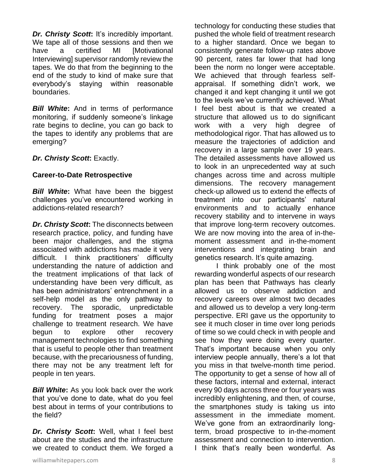*Dr. Christy Scott***:** It's incredibly important. We tape all of those sessions and then we have a certified MI [Motivational Interviewing] supervisor randomly review the tapes. We do that from the beginning to the end of the study to kind of make sure that everybody's staying within reasonable boundaries.

*Bill White***:** And in terms of performance monitoring, if suddenly someone's linkage rate begins to decline, you can go back to the tapes to identify any problems that are emerging?

*Dr. Christy Scott***:** Exactly.

# **Career-to-Date Retrospective**

*Bill White***:** What have been the biggest challenges you've encountered working in addictions-related research?

*Dr. Christy Scott***:** The disconnects between research practice, policy, and funding have been major challenges, and the stigma associated with addictions has made it very difficult. I think practitioners' difficulty understanding the nature of addiction and the treatment implications of that lack of understanding have been very difficult, as has been administrators' entrenchment in a self-help model as the only pathway to recovery. The sporadic, unpredictable funding for treatment poses a major challenge to treatment research. We have begun to explore other recovery management technologies to find something that is useful to people other than treatment because, with the precariousness of funding, there may not be any treatment left for people in ten years.

*Bill White***:** As you look back over the work that you've done to date, what do you feel best about in terms of your contributions to the field?

*Dr. Christy Scott***:** Well, what I feel best about are the studies and the infrastructure we created to conduct them. We forged a

technology for conducting these studies that pushed the whole field of treatment research to a higher standard. Once we began to consistently generate follow-up rates above 90 percent, rates far lower that had long been the norm no longer were acceptable. We achieved that through fearless selfappraisal. If something didn't work, we changed it and kept changing it until we got to the levels we've currently achieved. What I feel best about is that we created a structure that allowed us to do significant work with a very high degree of methodological rigor. That has allowed us to measure the trajectories of addiction and recovery in a large sample over 19 years. The detailed assessments have allowed us to look in an unprecedented way at such changes across time and across multiple dimensions. The recovery management check-up allowed us to extend the effects of treatment into our participants' natural environments and to actually enhance recovery stability and to intervene in ways that improve long-term recovery outcomes. We are now moving into the area of in-themoment assessment and in-the-moment interventions and integrating brain and genetics research. It's quite amazing.

I think probably one of the most rewarding wonderful aspects of our research plan has been that Pathways has clearly allowed us to observe addiction and recovery careers over almost two decades and allowed us to develop a very long-term perspective. ERI gave us the opportunity to see it much closer in time over long periods of time so we could check in with people and see how they were doing every quarter. That's important because when you only interview people annually, there's a lot that you miss in that twelve-month time period. The opportunity to get a sense of how all of these factors, internal and external, interact every 90 days across three or four years was incredibly enlightening, and then, of course, the smartphones study is taking us into assessment in the immediate moment. We've gone from an extraordinarily longterm, broad prospective to in-the-moment assessment and connection to intervention. I think that's really been wonderful. As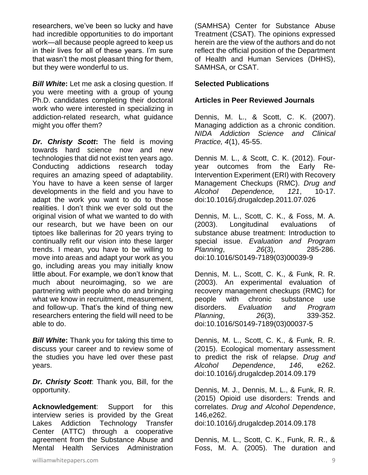researchers, we've been so lucky and have had incredible opportunities to do important work—all because people agreed to keep us in their lives for all of these years. I'm sure that wasn't the most pleasant thing for them, but they were wonderful to us.

*Bill White***:** Let me ask a closing question. If you were meeting with a group of young Ph.D. candidates completing their doctoral work who were interested in specializing in addiction-related research, what guidance might you offer them?

*Dr. Christy Scott***:** The field is moving towards hard science now and new technologies that did not exist ten years ago. Conducting addictions research today requires an amazing speed of adaptability. You have to have a keen sense of larger developments in the field and you have to adapt the work you want to do to those realities. I don't think we ever sold out the original vision of what we wanted to do with our research, but we have been on our tiptoes like ballerinas for 20 years trying to continually refit our vision into these larger trends. I mean, you have to be willing to move into areas and adapt your work as you go, including areas you may initially know little about. For example, we don't know that much about neuroimaging, so we are partnering with people who do and bringing what we know in recruitment, measurement, and follow-up. That's the kind of thing new researchers entering the field will need to be able to do.

*Bill White*: Thank you for taking this time to discuss your career and to review some of the studies you have led over these past years.

*Dr. Christy Scott*: Thank you, Bill, for the opportunity.

**Acknowledgement**: Support for this interview series is provided by the Great Lakes Addiction Technology Transfer Center (ATTC) through a cooperative agreement from the Substance Abuse and Mental Health Services Administration (SAMHSA) Center for Substance Abuse Treatment (CSAT). The opinions expressed herein are the view of the authors and do not reflect the official position of the Department of Health and Human Services (DHHS), SAMHSA, or CSAT.

#### **Selected Publications**

#### **Articles in Peer Reviewed Journals**

Dennis, M. L., & Scott, C. K. (2007). Managing addiction as a chronic condition. *NIDA Addiction Science and Clinical Practice, 4*(1), 45-55.

Dennis M. L., & Scott, C. K. (2012). Fouryear outcomes from the Early Re-Intervention Experiment (ERI) with Recovery Management Checkups (RMC). *Drug and Alcohol Dependence, 121*, 10-17. doi:10.1016/j.drugalcdep.2011.07.026

Dennis, M. L., Scott, C. K., & Foss, M. A. (2003). Longitudinal evaluations of substance abuse treatment: Introduction to special issue. *Evaluation and Program Planning*, *26*(3), 285-286. doi:10.1016/S0149-7189(03)00039-9

Dennis, M. L., Scott, C. K., & Funk, R. R. (2003). An experimental evaluation of recovery management checkups (RMC) for people with chronic substance use disorders. *Evaluation and Program Planning*, *26*(3), 339-352. doi:10.1016/S0149-7189(03)00037-5

Dennis, M. L., Scott, C. K., & Funk, R. R. (2015). Ecological momentary assessment to predict the risk of relapse. *Drug and Alcohol Dependence*, *146*, e262. doi:10.1016/j.drugalcdep.2014.09.179

Dennis, M. J., Dennis, M. L., & Funk, R. R. (2015) Opioid use disorders: Trends and correlates. *Drug and Alcohol Dependence*, 146,e262.

doi:10.1016/j.drugalcdep.2014.09.178

Dennis, M. L., Scott, C. K., Funk, R. R., & Foss, M. A. (2005). The duration and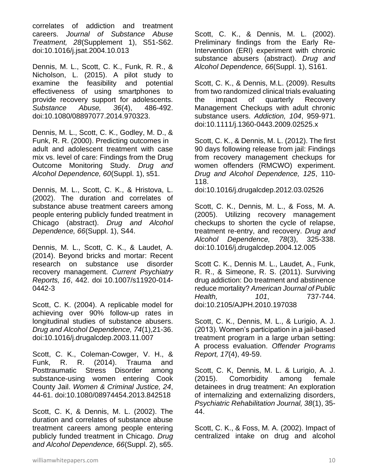correlates of addiction and treatment careers. *Journal of Substance Abuse Treatment, 28*(Supplement 1), S51-S62. doi:10.1016/j.jsat.2004.10.013

Dennis, M. L., Scott, C. K., Funk, R. R., & Nicholson, L. (2015). A pilot study to examine the feasibility and potential effectiveness of using smartphones to provide recovery support for adolescents. *Substance Abuse, 36*(4), 486-492. doi:10.1080/08897077.2014.970323.

Dennis, M. L., Scott, C. K., Godley, M. D., & Funk, R. R. (2000). Predicting outcomes in adult and adolescent treatment with case mix vs. level of care: Findings from the Drug Outcome Monitoring Study. *Drug and Alcohol Dependence, 60*(Suppl. 1), s51.

Dennis, M. L., Scott, C. K., & Hristova, L. (2002). The duration and correlates of substance abuse treatment careers among people entering publicly funded treatment in Chicago (abstract). *Drug and Alcohol Dependence, 66*(Suppl. 1), S44.

Dennis, M. L., Scott, C. K., & Laudet, A. (2014). Beyond bricks and mortar: Recent research on substance use disorder recovery management. *Current Psychiatry Reports, 16*, 442. doi 10.1007/s11920-014- 0442-3

Scott, C. K. (2004). A replicable model for achieving over 90% follow-up rates in longitudinal studies of substance abusers. *Drug and Alcohol Dependence, 74*(1),21-36. doi:10.1016/j.drugalcdep.2003.11.007

Scott, C. K., Coleman-Cowger, V. H., & Funk, R. R. (2014). Trauma and Posttraumatic Stress Disorder among substance-using women entering Cook County Jail. *Women & Criminal Justice, 24*, 44-61. doi:10.1080/08974454.2013.842518

Scott, C. K, & Dennis, M. L. (2002). The duration and correlates of substance abuse treatment careers among people entering publicly funded treatment in Chicago. *Drug and Alcohol Dependence, 66*(Suppl. 2), s65.

Scott, C. K., & Dennis, M. L. (2002). Preliminary findings from the Early Re-Intervention (ERI) experiment with chronic substance abusers (abstract). *Drug and Alcohol Dependence, 66*(Suppl. 1), S161.

Scott, C. K., & Dennis, M.L. (2009). Results from two randomized clinical trials evaluating the impact of quarterly Recovery Management Checkups with adult chronic substance users. *Addiction, 104*, 959-971. doi:10.1111/j.1360-0443.2009.02525.x

Scott, C. K., & Dennis, M. L. (2012). The first 90 days following release from jail: Findings from recovery management checkups for women offenders (RMCWO) experiment. *Drug and Alcohol Dependence, 125*, 110- 118.

doi:10.1016/j.drugalcdep.2012.03.02526

Scott, C. K., Dennis, M. L., & Foss, M. A. (2005). Utilizing recovery management checkups to shorten the cycle of relapse, treatment re-entry, and recovery. *Drug and Alcohol Dependence, 78*(3), 325-338. doi:10.1016/j.drugalcdep.2004.12.005

Scott C. K., Dennis M. L., Laudet, A., Funk, R. R., & Simeone, R. S. (2011). Surviving drug addiction: Do treatment and abstinence reduce mortality? *American Journal of Public Health, 101*, 737-744. doi:10.2105/AJPH.2010.197038

Scott, C. K., Dennis, M. L., & Lurigio, A. J. (2013). Women's participation in a jail-based treatment program in a large urban setting: A process evaluation. *Offender Programs Report, 17*(4), 49-59.

Scott, C. K, Dennis, M. L. & Lurigio, A. J. (2015). Comorbidity among female detainees in drug treatment: An exploration of internalizing and externalizing disorders, *Psychiatric Rehabilitation Journal, 38*(1), 35- 44.

Scott, C. K., & Foss, M. A. (2002). Impact of centralized intake on drug and alcohol